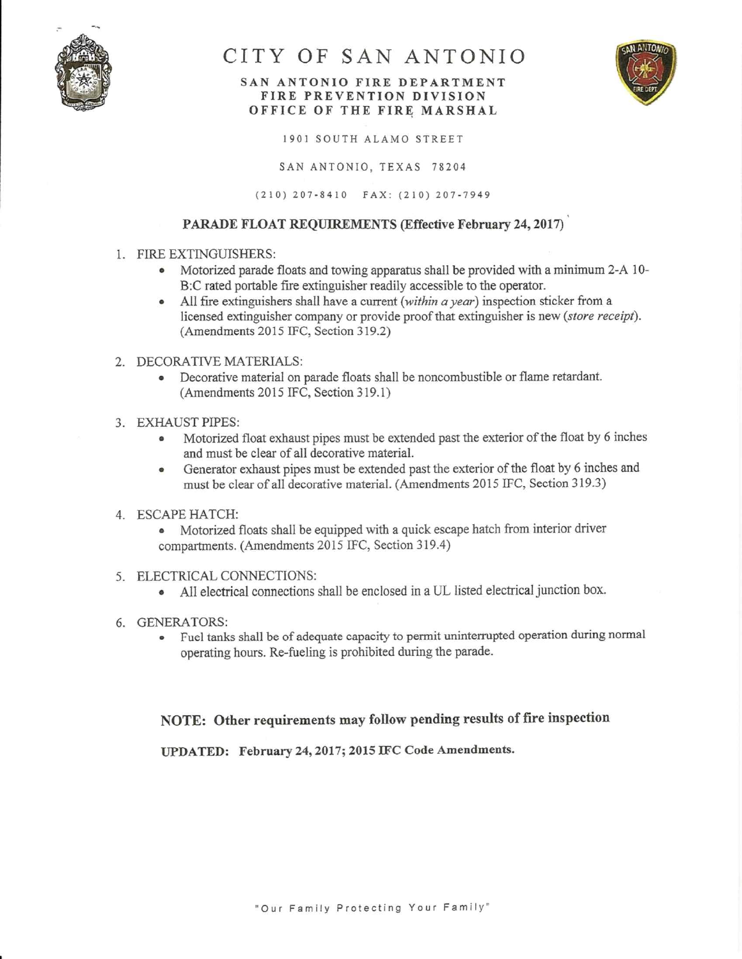

# CITY OF SAN ANTONIO

### SAN ANTONIO FIRE DEPARTMENT FIRE PREVENTION DIVISION OFFICE OF THE FIRE MARSHAL



1901 SOUTH ALAMO STREET

SAN ANTONIO, TEXAS 78204

(210) 207-8410 FAX: (210) 207-7949

## PARADE FLOAT REQUIREMENTS (Effective February 24, 2017)

- 1. FIRE EXTINGUISHERS:
	- Motorized parade floats and towing apparatus shall be provided with a minimum 2-A 10-B:C rated portable fire extinguisher readily accessible to the operator.
	- All fire extinguishers shall have a current (within a year) inspection sticker from a licensed extinguisher company or provide proof that extinguisher is new (store receipt). (Amendments 2015 IFC, Section 319.2)
- 2. DECORATIVE MATERIALS:
	- Decorative material on parade floats shall be noncombustible or flame retardant. (Amendments 2015 IFC, Section 319.1)
- 3. EXHAUST PIPES:
	- Motorized float exhaust pipes must be extended past the exterior of the float by 6 inches  $\bullet$ and must be clear of all decorative material.
	- Generator exhaust pipes must be extended past the exterior of the float by 6 inches and  $\bullet$ must be clear of all decorative material. (Amendments 2015 IFC, Section 319.3)

#### 4. ESCAPE HATCH:

- Motorized floats shall be equipped with a quick escape hatch from interior driver compartments. (Amendments 2015 IFC, Section 319.4)
- 5. ELECTRICAL CONNECTIONS:
	- All electrical connections shall be enclosed in a UL listed electrical junction box.
- 6. GENERATORS:
	- Fuel tanks shall be of adequate capacity to permit uninterrupted operation during normal operating hours. Re-fueling is prohibited during the parade.

# NOTE: Other requirements may follow pending results of fire inspection

UPDATED: February 24, 2017; 2015 IFC Code Amendments.